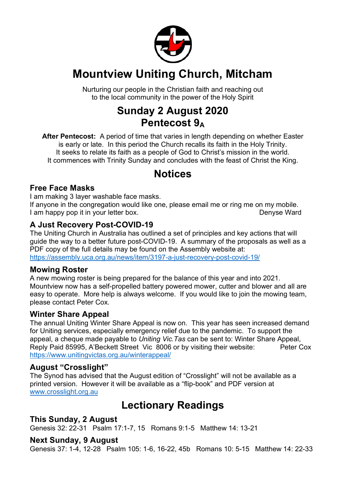

## **Mountview Uniting Church, Mitcham**

Nurturing our people in the Christian faith and reaching out to the local community in the power of the Holy Spirit

## **Sunday 2 August 2020 Pentecost 9A**

**After Pentecost:** A period of time that varies in length depending on whether Easter is early or late. In this period the Church recalls its faith in the Holy Trinity. It seeks to relate its faith as a people of God to Christ's mission in the world. It commences with Trinity Sunday and concludes with the feast of Christ the King.

## **Notices**

#### **Free Face Masks**

I am making 3 layer washable face masks.

If anyone in the congregation would like one, please email me or ring me on my mobile. I am happy pop it in your letter box. I can be a set of the Denyse Ward

#### **A Just Recovery Post-COVID-19**

The Uniting Church in Australia has outlined a set of principles and key actions that will guide the way to a better future post-COVID-19. A summary of the proposals as well as a PDF copy of the full details may be found on the Assembly website at: https://assembly.uca.org.au/news/item/3197-a-just-recovery-post-covid-19/

#### **Mowing Roster**

A new mowing roster is being prepared for the balance of this year and into 2021. Mountview now has a self-propelled battery powered mower, cutter and blower and all are easy to operate. More help is always welcome. If you would like to join the mowing team, please contact Peter Cox.

#### **Winter Share Appeal**

The annual Uniting Winter Share Appeal is now on. This year has seen increased demand for Uniting services, especially emergency relief due to the pandemic. To support the appeal, a cheque made payable to *Uniting Vic.Tas* can be sent to: Winter Share Appeal, Reply Paid 85995, A'Beckett Street Vic 8006 or by visiting their website: Peter Cox https://www.unitingvictas.org.au/winterappeal/

#### **August "Crosslight"**

The Synod has advised that the August edition of "Crosslight" will not be available as a printed version. However it will be available as a "flip-book" and PDF version at www.crosslight.org.au

## **Lectionary Readings**

#### **This Sunday, 2 August**

Genesis 32: 22-31 Psalm 17:1-7, 15 Romans 9:1-5 Matthew 14: 13-21

#### **Next Sunday, 9 August**

Genesis 37: 1-4, 12-28 Psalm 105: 1-6, 16-22, 45b Romans 10: 5-15 Matthew 14: 22-33